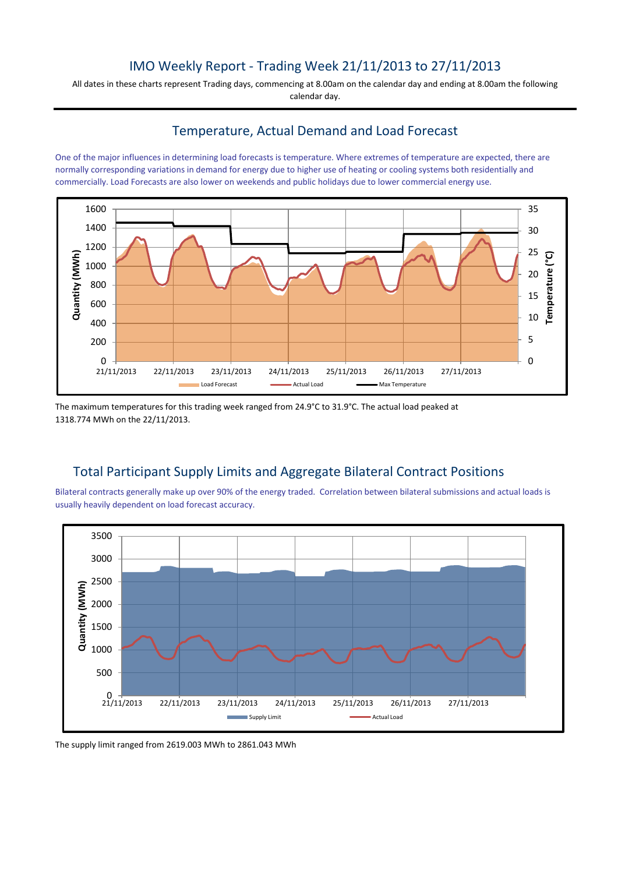# IMO Weekly Report - Trading Week 21/11/2013 to 27/11/2013

All dates in these charts represent Trading days, commencing at 8.00am on the calendar day and ending at 8.00am the following calendar day.

### Temperature, Actual Demand and Load Forecast

One of the major influences in determining load forecasts is temperature. Where extremes of temperature are expected, there are normally corresponding variations in demand for energy due to higher use of heating or cooling systems both residentially and commercially. Load Forecasts are also lower on weekends and public holidays due to lower commercial energy use.



The maximum temperatures for this trading week ranged from 24.9°C to 31.9°C. The actual load peaked at 1318.774 MWh on the 22/11/2013.

## Total Participant Supply Limits and Aggregate Bilateral Contract Positions

Bilateral contracts generally make up over 90% of the energy traded. Correlation between bilateral submissions and actual loads is usually heavily dependent on load forecast accuracy.



The supply limit ranged from 2619.003 MWh to 2861.043 MWh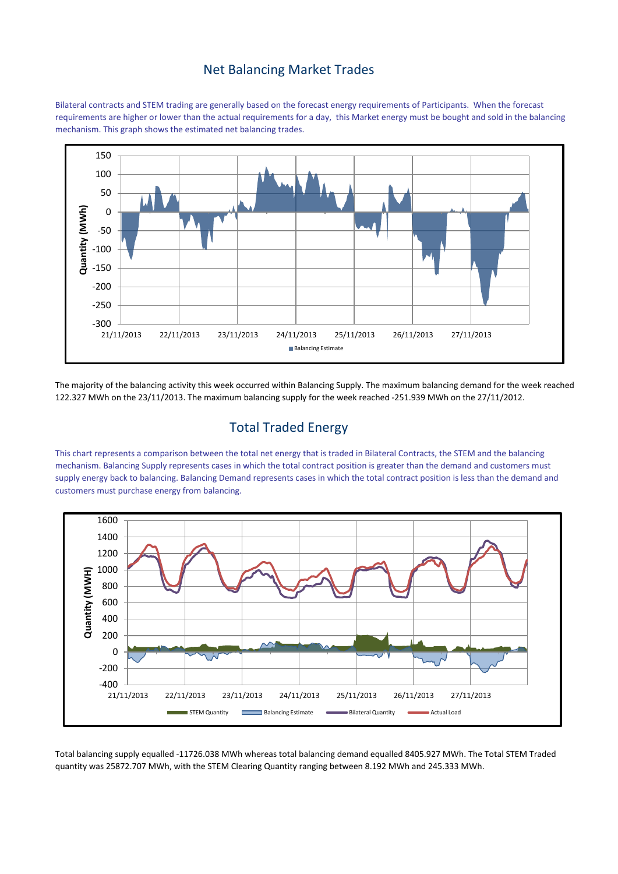#### Net Balancing Market Trades

Bilateral contracts and STEM trading are generally based on the forecast energy requirements of Participants. When the forecast requirements are higher or lower than the actual requirements for a day, this Market energy must be bought and sold in the balancing mechanism. This graph shows the estimated net balancing trades.



The majority of the balancing activity this week occurred within Balancing Supply. The maximum balancing demand for the week reached 122.327 MWh on the 23/11/2013. The maximum balancing supply for the week reached -251.939 MWh on the 27/11/2012.

## Total Traded Energy

This chart represents a comparison between the total net energy that is traded in Bilateral Contracts, the STEM and the balancing mechanism. Balancing Supply represents cases in which the total contract position is greater than the demand and customers must supply energy back to balancing. Balancing Demand represents cases in which the total contract position is less than the demand and customers must purchase energy from balancing.



Total balancing supply equalled -11726.038 MWh whereas total balancing demand equalled 8405.927 MWh. The Total STEM Traded quantity was 25872.707 MWh, with the STEM Clearing Quantity ranging between 8.192 MWh and 245.333 MWh.